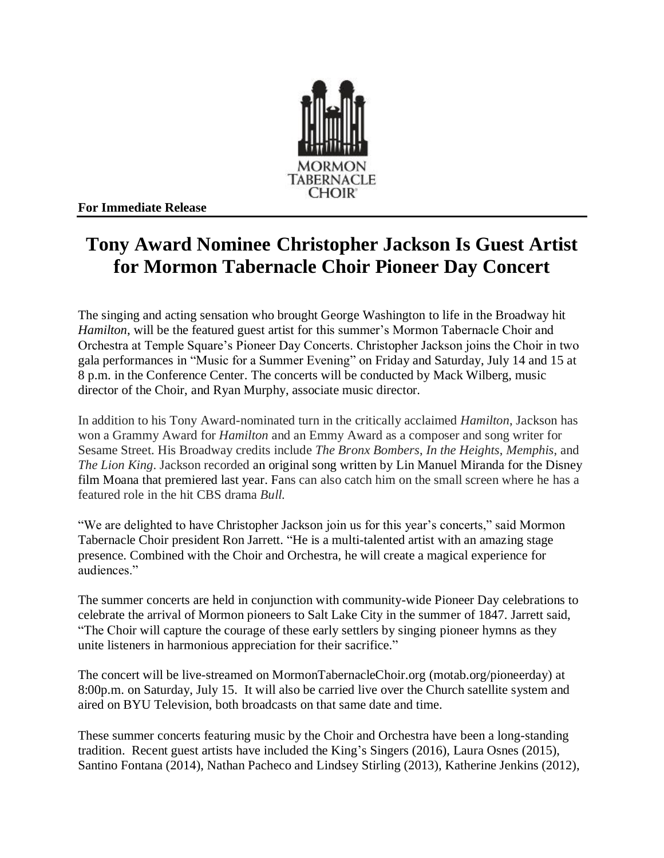

**For Immediate Release**

## **Tony Award Nominee Christopher Jackson Is Guest Artist for Mormon Tabernacle Choir Pioneer Day Concert**

The singing and acting sensation who brought George Washington to life in the Broadway hit *Hamilton*, will be the featured guest artist for this summer's Mormon Tabernacle Choir and Orchestra at Temple Square's Pioneer Day Concerts. Christopher Jackson joins the Choir in two gala performances in "Music for a Summer Evening" on Friday and Saturday, July 14 and 15 at 8 p.m. in the Conference Center. The concerts will be conducted by Mack Wilberg, music director of the Choir, and Ryan Murphy, associate music director.

In addition to his Tony Award-nominated turn in the critically acclaimed *Hamilton*, Jackson has won a Grammy Award for *Hamilton* and an Emmy Award as a composer and song writer for Sesame Street. His Broadway credits include *The Bronx Bombers*, *In the Heights*, *Memphis*, and *The Lion King*. Jackson recorded an original song written by Lin Manuel Miranda for the Disney film Moana that premiered last year. Fans can also catch him on the small screen where he has a featured role in the hit CBS drama *Bull.*

"We are delighted to have Christopher Jackson join us for this year's concerts," said Mormon Tabernacle Choir president Ron Jarrett. "He is a multi-talented artist with an amazing stage presence. Combined with the Choir and Orchestra, he will create a magical experience for audiences."

The summer concerts are held in conjunction with community-wide Pioneer Day celebrations to celebrate the arrival of Mormon pioneers to Salt Lake City in the summer of 1847. Jarrett said, "The Choir will capture the courage of these early settlers by singing pioneer hymns as they unite listeners in harmonious appreciation for their sacrifice."

The concert will be live-streamed on MormonTabernacleChoir.org (motab.org/pioneerday) at 8:00p.m. on Saturday, July 15. It will also be carried live over the Church satellite system and aired on BYU Television, both broadcasts on that same date and time.

These summer concerts featuring music by the Choir and Orchestra have been a long-standing tradition. Recent guest artists have included the King's Singers (2016), Laura Osnes (2015), Santino Fontana (2014), Nathan Pacheco and Lindsey Stirling (2013), Katherine Jenkins (2012),